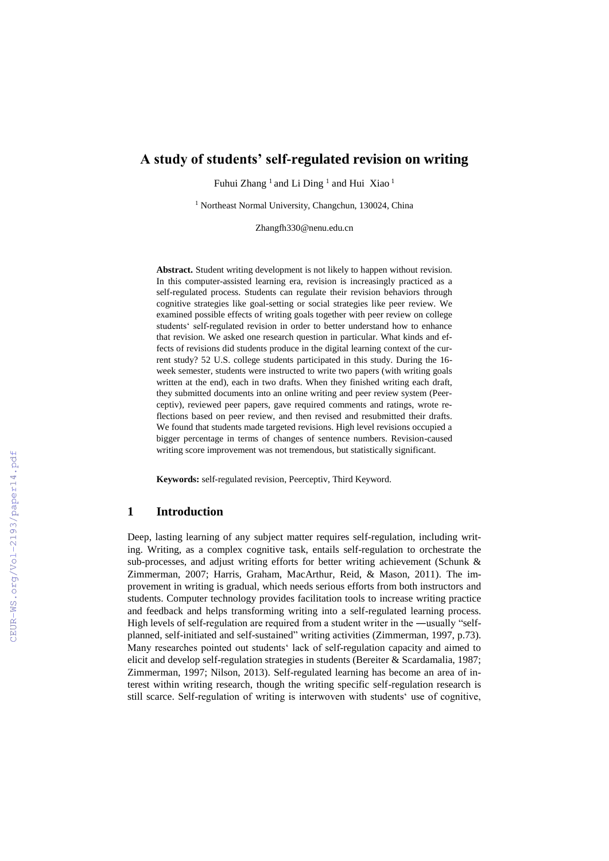# **A study of students' self-regulated revision on writing**

Fuhui Zhang<sup>1</sup> and Li Ding<sup>1</sup> and Hui Xiao<sup>1</sup>

<sup>1</sup> Northeast Normal University, Changchun, 130024, China

Zhangfh330@nenu.edu.cn

**Abstract.** Student writing development is not likely to happen without revision. In this computer-assisted learning era, revision is increasingly practiced as a self-regulated process. Students can regulate their revision behaviors through cognitive strategies like goal-setting or social strategies like peer review. We examined possible effects of writing goals together with peer review on college students' self-regulated revision in order to better understand how to enhance that revision. We asked one research question in particular. What kinds and effects of revisions did students produce in the digital learning context of the current study? 52 U.S. college students participated in this study. During the 16 week semester, students were instructed to write two papers (with writing goals written at the end), each in two drafts. When they finished writing each draft, they submitted documents into an online writing and peer review system (Peerceptiv), reviewed peer papers, gave required comments and ratings, wrote reflections based on peer review, and then revised and resubmitted their drafts. We found that students made targeted revisions. High level revisions occupied a bigger percentage in terms of changes of sentence numbers. Revision-caused writing score improvement was not tremendous, but statistically significant.

**Keywords:** self-regulated revision, Peerceptiv, Third Keyword.

## **1 Introduction**

Deep, lasting learning of any subject matter requires self-regulation, including writing. Writing, as a complex cognitive task, entails self-regulation to orchestrate the sub-processes, and adjust writing efforts for better writing achievement (Schunk & Zimmerman, 2007; Harris, Graham, MacArthur, Reid, & Mason, 2011). The improvement in writing is gradual, which needs serious efforts from both instructors and students. Computer technology provides facilitation tools to increase writing practice and feedback and helps transforming writing into a self-regulated learning process. High levels of self-regulation are required from a student writer in the ―usually "selfplanned, self-initiated and self-sustained" writing activities (Zimmerman, 1997, p.73). Many researches pointed out students' lack of self-regulation capacity and aimed to elicit and develop self-regulation strategies in students (Bereiter & Scardamalia, 1987; Zimmerman, 1997; Nilson, 2013). Self-regulated learning has become an area of interest within writing research, though the writing specific self-regulation research is still scarce. Self-regulation of writing is interwoven with students' use of cognitive,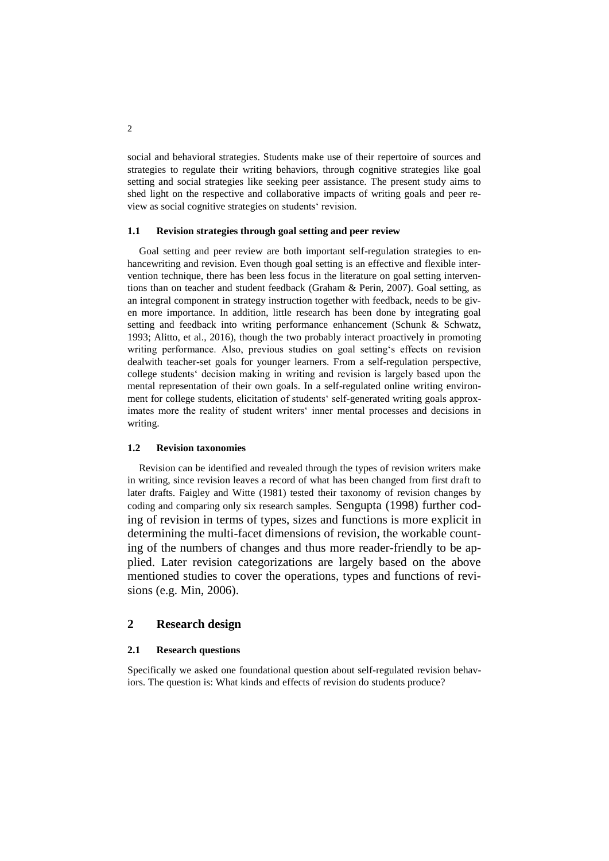social and behavioral strategies. Students make use of their repertoire of sources and strategies to regulate their writing behaviors, through cognitive strategies like goal setting and social strategies like seeking peer assistance. The present study aims to shed light on the respective and collaborative impacts of writing goals and peer review as social cognitive strategies on students' revision.

### **1.1 Revision strategies through goal setting and peer review**

Goal setting and peer review are both important self-regulation strategies to enhancewriting and revision. Even though goal setting is an effective and flexible intervention technique, there has been less focus in the literature on goal setting interventions than on teacher and student feedback (Graham & Perin, 2007). Goal setting, as an integral component in strategy instruction together with feedback, needs to be given more importance. In addition, little research has been done by integrating goal setting and feedback into writing performance enhancement (Schunk & Schwatz, 1993; Alitto, et al., 2016), though the two probably interact proactively in promoting writing performance. Also, previous studies on goal setting's effects on revision dealwith teacher-set goals for younger learners. From a self-regulation perspective, college students' decision making in writing and revision is largely based upon the mental representation of their own goals. In a self-regulated online writing environment for college students, elicitation of students' self-generated writing goals approximates more the reality of student writers' inner mental processes and decisions in writing.

### **1.2 Revision taxonomies**

Revision can be identified and revealed through the types of revision writers make in writing, since revision leaves a record of what has been changed from first draft to later drafts. Faigley and Witte (1981) tested their taxonomy of revision changes by coding and comparing only six research samples. Sengupta (1998) further coding of revision in terms of types, sizes and functions is more explicit in determining the multi-facet dimensions of revision, the workable counting of the numbers of changes and thus more reader-friendly to be applied. Later revision categorizations are largely based on the above mentioned studies to cover the operations, types and functions of revisions (e.g. Min, 2006).

# **2 Research design**

## **2.1 Research questions**

Specifically we asked one foundational question about self-regulated revision behaviors. The question is: What kinds and effects of revision do students produce?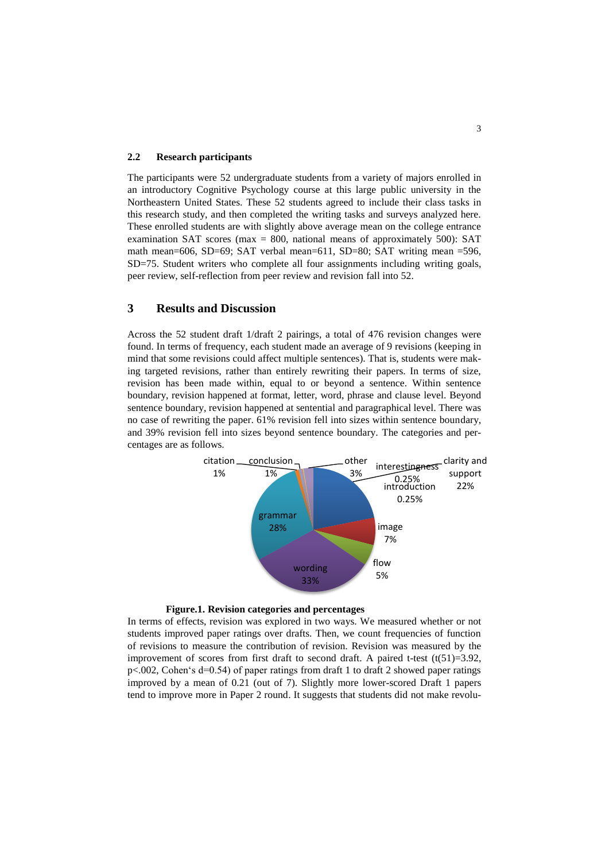### **2.2 Research participants**

The participants were 52 undergraduate students from a variety of majors enrolled in an introductory Cognitive Psychology course at this large public university in the Northeastern United States. These 52 students agreed to include their class tasks in this research study, and then completed the writing tasks and surveys analyzed here. These enrolled students are with slightly above average mean on the college entrance examination SAT scores (max = 800, national means of approximately 500): SAT math mean=606, SD=69; SAT verbal mean=611, SD=80; SAT writing mean =596, SD=75. Student writers who complete all four assignments including writing goals, peer review, self-reflection from peer review and revision fall into 52.

# **3 Results and Discussion**

Across the 52 student draft 1/draft 2 pairings, a total of 476 revision changes were found. In terms of frequency, each student made an average of 9 revisions (keeping in mind that some revisions could affect multiple sentences). That is, students were making targeted revisions, rather than entirely rewriting their papers. In terms of size, revision has been made within, equal to or beyond a sentence. Within sentence boundary, revision happened at format, letter, word, phrase and clause level. Beyond sentence boundary, revision happened at sentential and paragraphical level. There was no case of rewriting the paper. 61% revision fell into sizes within sentence boundary, and 39% revision fell into sizes beyond sentence boundary. The categories and percentages are as follows.





In terms of effects, revision was explored in two ways. We measured whether or not students improved paper ratings over drafts. Then, we count frequencies of function of revisions to measure the contribution of revision. Revision was measured by the improvement of scores from first draft to second draft. A paired t-test  $(t(51)=3.92$ , p<.002, Cohen's d=0.54) of paper ratings from draft 1 to draft 2 showed paper ratings improved by a mean of 0.21 (out of 7). Slightly more lower-scored Draft 1 papers tend to improve more in Paper 2 round. It suggests that students did not make revolu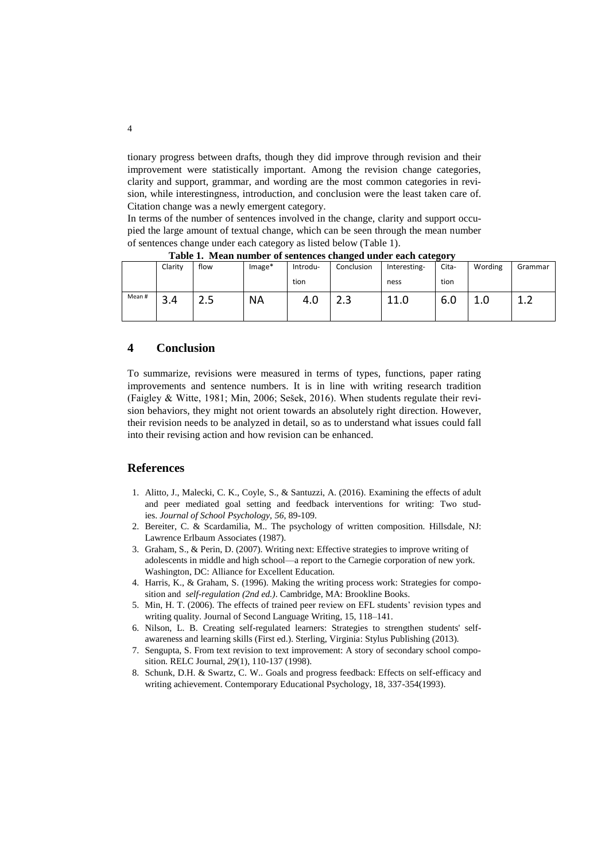tionary progress between drafts, though they did improve through revision and their improvement were statistically important. Among the revision change categories, clarity and support, grammar, and wording are the most common categories in revision, while interestingness, introduction, and conclusion were the least taken care of. Citation change was a newly emergent category.

In terms of the number of sentences involved in the change, clarity and support occupied the large amount of textual change, which can be seen through the mean number of sentences change under each category as listed below (Table 1).

|        | Clarity | flow  | Image*    | Introdu- | Conclusion | Interesting- | $ -$<br>Cita- | Wording | Grammar |
|--------|---------|-------|-----------|----------|------------|--------------|---------------|---------|---------|
|        |         |       |           | tion     |            | ness         | tion          |         |         |
| Mean # | 3.4     | ر . ب | <b>NA</b> | 4.0      | د.ء        | 11.0         | 6.0           | ⊥.∪     | ∸∙      |
|        |         |       |           |          |            |              |               |         |         |

**Table 1. Mean number of sentences changed under each category**

# **4 Conclusion**

To summarize, revisions were measured in terms of types, functions, paper rating improvements and sentence numbers. It is in line with writing research tradition (Faigley & Witte, 1981; Min, 2006; Sešek, 2016). When students regulate their revision behaviors, they might not orient towards an absolutely right direction. However, their revision needs to be analyzed in detail, so as to understand what issues could fall into their revising action and how revision can be enhanced.

# **References**

- 1. Alitto, J., Malecki, C. K., Coyle, S., & Santuzzi, A. (2016). Examining the effects of adult and peer mediated goal setting and feedback interventions for writing: Two studies. *Journal of School Psychology, 56*, 89-109.
- 2. Bereiter, C. & Scardamilia, M.. The psychology of written composition*.* Hillsdale, NJ: Lawrence Erlbaum Associates (1987).
- 3. Graham, S., & Perin, D. (2007). Writing next: Effective strategies to improve writing of adolescents in middle and high school—a report to the Carnegie corporation of new york. Washington, DC: Alliance for Excellent Education.
- 4. Harris, K., & Graham, S. (1996). Making the writing process work: Strategies for composition and *self-regulation (2nd ed.)*. Cambridge, MA: Brookline Books.
- 5. Min, H. T. (2006). The effects of trained peer review on EFL students' revision types and writing quality. Journal of Second Language Writing, 15, 118–141.
- 6. Nilson, L. B. Creating self-regulated learners: Strategies to strengthen students' selfawareness and learning skills (First ed.). Sterling, Virginia: Stylus Publishing (2013).
- 7. Sengupta, S. From text revision to text improvement: A story of secondary school composition. RELC Journal, *29*(1), 110-137 (1998).
- 8. Schunk, D.H. & Swartz, C. W.. Goals and progress feedback: Effects on self-efficacy and writing achievement. Contemporary Educational Psychology, 18, 337-354(1993).